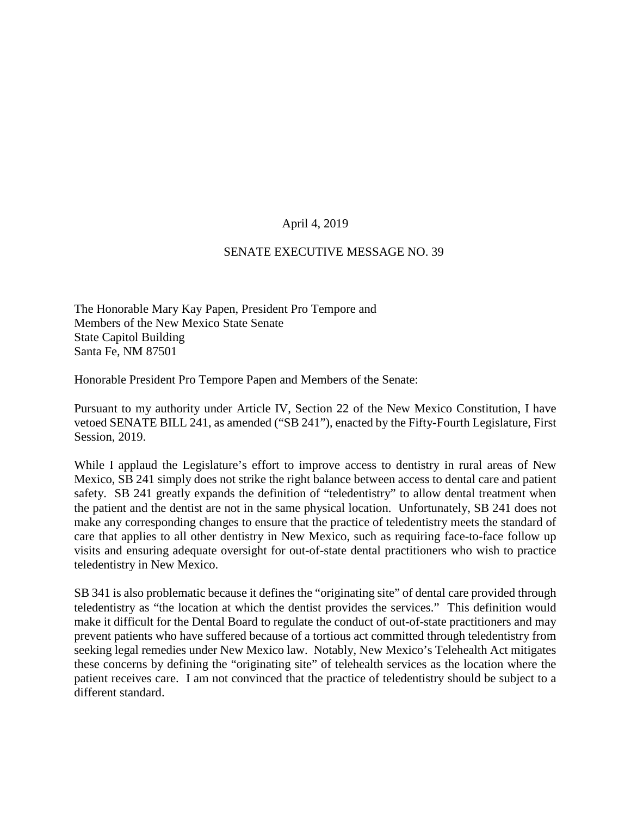## April 4, 2019

## SENATE EXECUTIVE MESSAGE NO. 39

The Honorable Mary Kay Papen, President Pro Tempore and Members of the New Mexico State Senate State Capitol Building Santa Fe, NM 87501

Honorable President Pro Tempore Papen and Members of the Senate:

Pursuant to my authority under Article IV, Section 22 of the New Mexico Constitution, I have vetoed SENATE BILL 241, as amended ("SB 241"), enacted by the Fifty-Fourth Legislature, First Session, 2019.

While I applaud the Legislature's effort to improve access to dentistry in rural areas of New Mexico, SB 241 simply does not strike the right balance between access to dental care and patient safety. SB 241 greatly expands the definition of "teledentistry" to allow dental treatment when the patient and the dentist are not in the same physical location. Unfortunately, SB 241 does not make any corresponding changes to ensure that the practice of teledentistry meets the standard of care that applies to all other dentistry in New Mexico, such as requiring face-to-face follow up visits and ensuring adequate oversight for out-of-state dental practitioners who wish to practice teledentistry in New Mexico.

SB 341 is also problematic because it defines the "originating site" of dental care provided through teledentistry as "the location at which the dentist provides the services." This definition would make it difficult for the Dental Board to regulate the conduct of out-of-state practitioners and may prevent patients who have suffered because of a tortious act committed through teledentistry from seeking legal remedies under New Mexico law. Notably, New Mexico's Telehealth Act mitigates these concerns by defining the "originating site" of telehealth services as the location where the patient receives care. I am not convinced that the practice of teledentistry should be subject to a different standard.